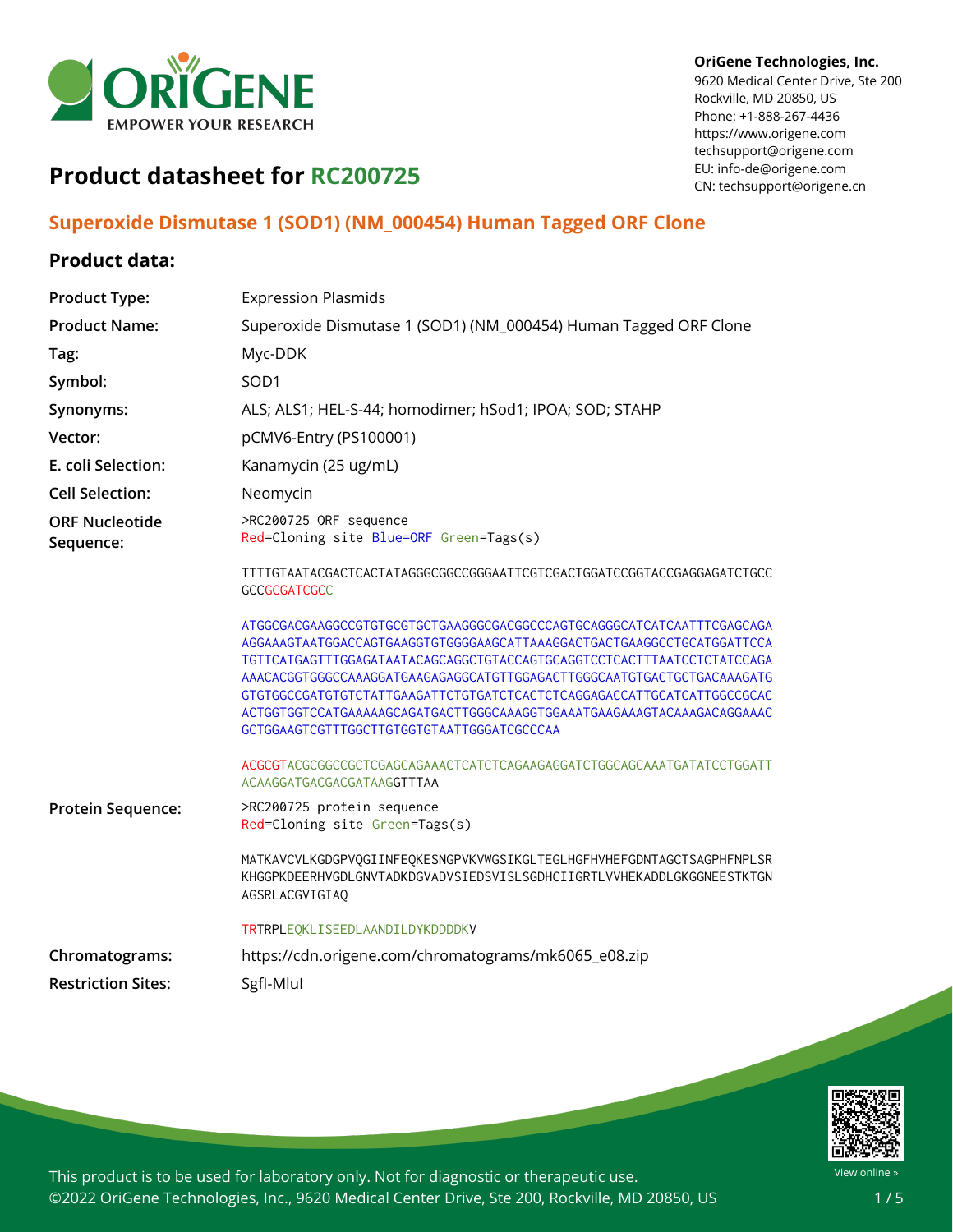

#### **OriGene Technologies, Inc.**

9620 Medical Center Drive, Ste 200 Rockville, MD 20850, US Phone: +1-888-267-4436 https://www.origene.com techsupport@origene.com EU: info-de@origene.com CN: techsupport@origene.cn

# **Product datasheet for RC200725**

## **Superoxide Dismutase 1 (SOD1) (NM\_000454) Human Tagged ORF Clone**

### **Product data:**

| <b>Product Type:</b>               | <b>Expression Plasmids</b>                                                                                                                                                                                                                                                                                                                                                                                                   |
|------------------------------------|------------------------------------------------------------------------------------------------------------------------------------------------------------------------------------------------------------------------------------------------------------------------------------------------------------------------------------------------------------------------------------------------------------------------------|
| <b>Product Name:</b>               | Superoxide Dismutase 1 (SOD1) (NM_000454) Human Tagged ORF Clone                                                                                                                                                                                                                                                                                                                                                             |
| Tag:                               | Myc-DDK                                                                                                                                                                                                                                                                                                                                                                                                                      |
| Symbol:                            | SOD1                                                                                                                                                                                                                                                                                                                                                                                                                         |
| Synonyms:                          | ALS; ALS1; HEL-S-44; homodimer; hSod1; IPOA; SOD; STAHP                                                                                                                                                                                                                                                                                                                                                                      |
| Vector:                            | pCMV6-Entry (PS100001)                                                                                                                                                                                                                                                                                                                                                                                                       |
| E. coli Selection:                 | Kanamycin (25 ug/mL)                                                                                                                                                                                                                                                                                                                                                                                                         |
| <b>Cell Selection:</b>             | Neomycin                                                                                                                                                                                                                                                                                                                                                                                                                     |
| <b>ORF Nucleotide</b><br>Sequence: | >RC200725 ORF sequence<br>Red=Cloning site Blue=ORF Green=Tags(s)                                                                                                                                                                                                                                                                                                                                                            |
|                                    | TTTTGTAATACGACTCACTATAGGGCGGCCGGGAATTCGTCGACTGGATCCGGTACCGAGGAGATCTGCC<br><b>GCCGCGATCGCC</b>                                                                                                                                                                                                                                                                                                                                |
|                                    | ATGGCGACGAAGGCCGTGTGCGTGCTGAAGGGCGACGGCCCAGTGCAGGGCATCATCAATTTCGAGCAGA<br>TGTTCATGAGTTTGGAGATAATACAGCAGGCTGTACCAGTGCAGGTCCTCACTTTAATCCTCTATCCAGA<br>AAACACGGTGGCCCAAAGGATGAAGAGAGGCATGTTGGAGACTTGGGCAATGTGACTGCTGACAAAGATG<br>GTGTGGCCGATGTGTCTATTGAAGATTCTGTGATCTCACTCTCAGGAGACCATTGCATCATTGGCCGCAC<br>ACTGGTGCTCCATGAAAAAGCAGATGACTTGGGCAAAGGTGGAAATGAAGAAAGTACAAAGACAGGAAAC<br>GCTGGAAGTCGTTTGGCTTGTGGTGTAATTGGGATCGCCCAA |
|                                    | ACGCGTACGCGGCCGCTCGAGCAGAAACTCATCTCAGAAGAGGATCTGGCAGCAAATGATATCCTGGATT<br>ACAAGGATGACGACGATAAGGTTTAA                                                                                                                                                                                                                                                                                                                         |
| Protein Sequence:                  | >RC200725 protein sequence<br>Red=Cloning site Green=Tags(s)                                                                                                                                                                                                                                                                                                                                                                 |
|                                    | MATKAVCVLKGDGPVQGIINFEQKESNGPVKVWGSIKGLTEGLHGFHVHEFGDNTAGCTSAGPHFNPLSR<br>KHGGPKDEERHVGDLGNVTADKDGVADVSIEDSVISLSGDHCIIGRTLVVHEKADDLGKGGNEESTKTGN<br>AGSRLACGVIGIAO                                                                                                                                                                                                                                                           |
|                                    | TRTRPLEQKLISEEDLAANDILDYKDDDDKV                                                                                                                                                                                                                                                                                                                                                                                              |
| Chromatograms:                     | https://cdn.origene.com/chromatograms/mk6065_e08.zip                                                                                                                                                                                                                                                                                                                                                                         |
| <b>Restriction Sites:</b>          | SgfI-Mlul                                                                                                                                                                                                                                                                                                                                                                                                                    |



This product is to be used for laboratory only. Not for diagnostic or therapeutic use. ©2022 OriGene Technologies, Inc., 9620 Medical Center Drive, Ste 200, Rockville, MD 20850, US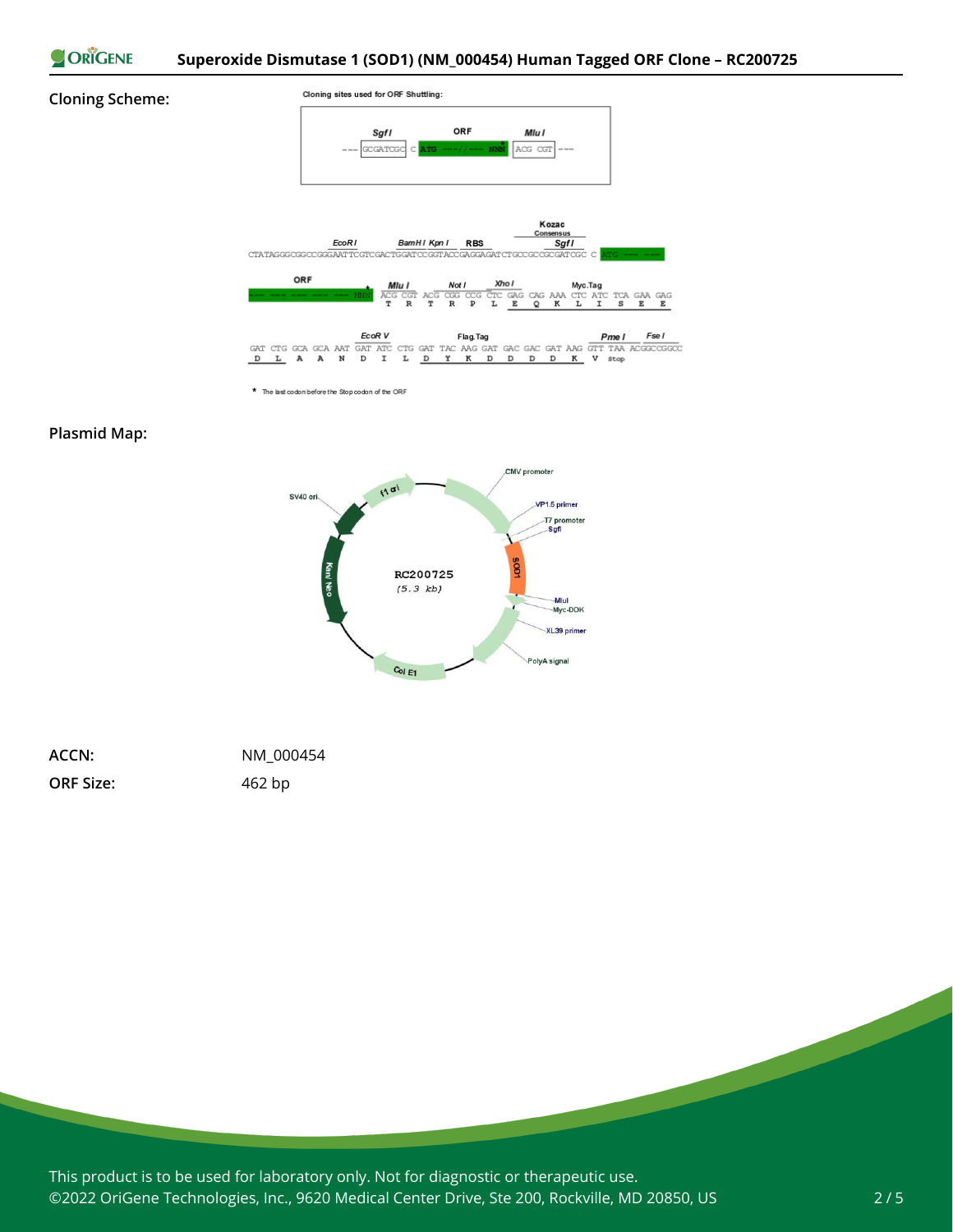

#### **Cloning Scheme:**



\* The last codon before the Stop codon of the ORF

#### **Plasmid Map:**



| ACCN:            | NM 000454 |
|------------------|-----------|
| <b>ORF Size:</b> | 462 bp    |

This product is to be used for laboratory only. Not for diagnostic or therapeutic use. ©2022 OriGene Technologies, Inc., 9620 Medical Center Drive, Ste 200, Rockville, MD 20850, US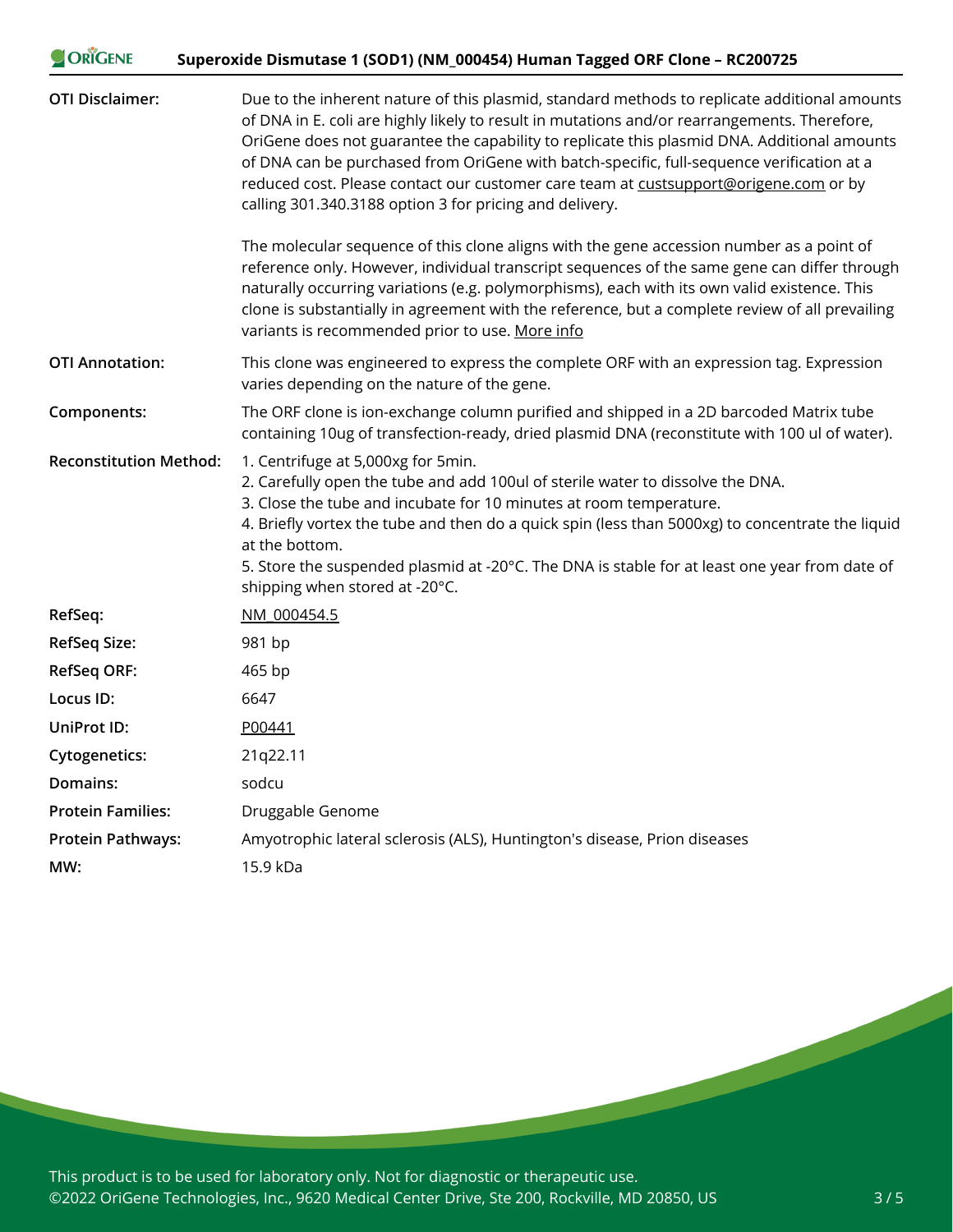| ORIGENE                       | Superoxide Dismutase 1 (SOD1) (NM_000454) Human Tagged ORF Clone - RC200725                                                                                                                                                                                                                                                                                                                                                                                                                                                                 |
|-------------------------------|---------------------------------------------------------------------------------------------------------------------------------------------------------------------------------------------------------------------------------------------------------------------------------------------------------------------------------------------------------------------------------------------------------------------------------------------------------------------------------------------------------------------------------------------|
| <b>OTI Disclaimer:</b>        | Due to the inherent nature of this plasmid, standard methods to replicate additional amounts<br>of DNA in E. coli are highly likely to result in mutations and/or rearrangements. Therefore,<br>OriGene does not guarantee the capability to replicate this plasmid DNA. Additional amounts<br>of DNA can be purchased from OriGene with batch-specific, full-sequence verification at a<br>reduced cost. Please contact our customer care team at custsupport@origene.com or by<br>calling 301.340.3188 option 3 for pricing and delivery. |
|                               | The molecular sequence of this clone aligns with the gene accession number as a point of<br>reference only. However, individual transcript sequences of the same gene can differ through<br>naturally occurring variations (e.g. polymorphisms), each with its own valid existence. This<br>clone is substantially in agreement with the reference, but a complete review of all prevailing<br>variants is recommended prior to use. More info                                                                                              |
| <b>OTI Annotation:</b>        | This clone was engineered to express the complete ORF with an expression tag. Expression<br>varies depending on the nature of the gene.                                                                                                                                                                                                                                                                                                                                                                                                     |
| Components:                   | The ORF clone is ion-exchange column purified and shipped in a 2D barcoded Matrix tube<br>containing 10ug of transfection-ready, dried plasmid DNA (reconstitute with 100 ul of water).                                                                                                                                                                                                                                                                                                                                                     |
| <b>Reconstitution Method:</b> | 1. Centrifuge at 5,000xg for 5min.<br>2. Carefully open the tube and add 100ul of sterile water to dissolve the DNA.<br>3. Close the tube and incubate for 10 minutes at room temperature.<br>4. Briefly vortex the tube and then do a quick spin (less than 5000xg) to concentrate the liquid<br>at the bottom.<br>5. Store the suspended plasmid at -20°C. The DNA is stable for at least one year from date of<br>shipping when stored at -20°C.                                                                                         |
| RefSeq:                       | NM 000454.5                                                                                                                                                                                                                                                                                                                                                                                                                                                                                                                                 |
| <b>RefSeq Size:</b>           | 981 bp                                                                                                                                                                                                                                                                                                                                                                                                                                                                                                                                      |
| <b>RefSeq ORF:</b>            | 465 bp                                                                                                                                                                                                                                                                                                                                                                                                                                                                                                                                      |
| Locus ID:                     | 6647                                                                                                                                                                                                                                                                                                                                                                                                                                                                                                                                        |
| <b>UniProt ID:</b>            | P00441                                                                                                                                                                                                                                                                                                                                                                                                                                                                                                                                      |
| Cytogenetics:                 | 21q22.11                                                                                                                                                                                                                                                                                                                                                                                                                                                                                                                                    |
| Domains:                      | sodcu                                                                                                                                                                                                                                                                                                                                                                                                                                                                                                                                       |
| <b>Protein Families:</b>      | Druggable Genome                                                                                                                                                                                                                                                                                                                                                                                                                                                                                                                            |
| <b>Protein Pathways:</b>      | Amyotrophic lateral sclerosis (ALS), Huntington's disease, Prion diseases                                                                                                                                                                                                                                                                                                                                                                                                                                                                   |
| MW:                           | 15.9 kDa                                                                                                                                                                                                                                                                                                                                                                                                                                                                                                                                    |

This product is to be used for laboratory only. Not for diagnostic or therapeutic use. ©2022 OriGene Technologies, Inc., 9620 Medical Center Drive, Ste 200, Rockville, MD 20850, US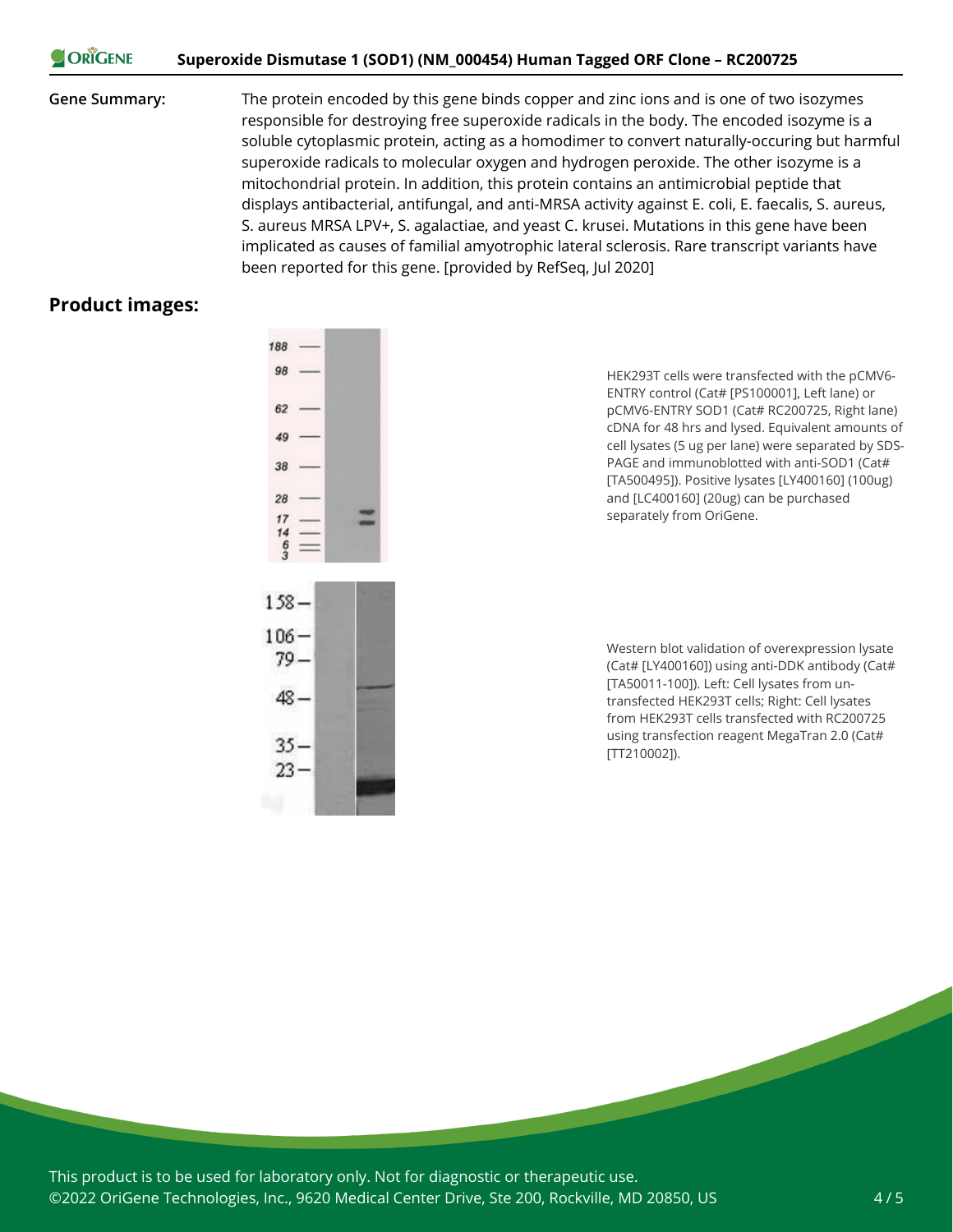#### **CORIGENE Superoxide Dismutase 1 (SOD1) (NM\_000454) Human Tagged ORF Clone – RC200725**

**Gene Summary:** The protein encoded by this gene binds copper and zinc ions and is one of two isozymes responsible for destroying free superoxide radicals in the body. The encoded isozyme is a soluble cytoplasmic protein, acting as a homodimer to convert naturally-occuring but harmful superoxide radicals to molecular oxygen and hydrogen peroxide. The other isozyme is a mitochondrial protein. In addition, this protein contains an antimicrobial peptide that displays antibacterial, antifungal, and anti-MRSA activity against E. coli, E. faecalis, S. aureus, S. aureus MRSA LPV+, S. agalactiae, and yeast C. krusei. Mutations in this gene have been implicated as causes of familial amyotrophic lateral sclerosis. Rare transcript variants have been reported for this gene. [provided by RefSeq, Jul 2020]

#### **Product images:**



HEK293T cells were transfected with the pCMV6- ENTRY control (Cat# [PS100001], Left lane) or pCMV6-ENTRY SOD1 (Cat# RC200725, Right lane) cDNA for 48 hrs and lysed. Equivalent amounts of cell lysates (5 ug per lane) were separated by SDS-PAGE and immunoblotted with anti-SOD1 (Cat# [TA500495]). Positive lysates [LY400160] (100ug) and [LC400160] (20ug) can be purchased separately from OriGene.



Western blot validation of overexpression lysate (Cat# [LY400160]) using anti-DDK antibody (Cat# [TA50011-100]). Left: Cell lysates from untransfected HEK293T cells; Right: Cell lysates from HEK293T cells transfected with RC200725 using transfection reagent MegaTran 2.0 (Cat# [TT210002]).

This product is to be used for laboratory only. Not for diagnostic or therapeutic use. ©2022 OriGene Technologies, Inc., 9620 Medical Center Drive, Ste 200, Rockville, MD 20850, US